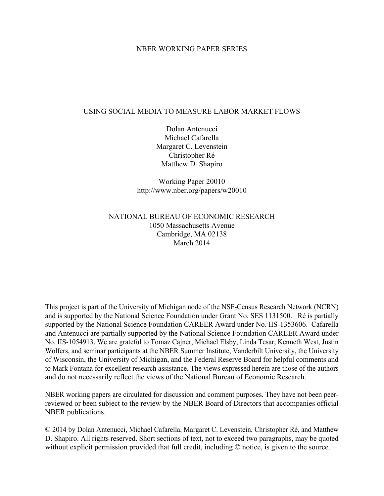## NBER WORKING PAPER SERIES

## USING SOCIAL MEDIA TO MEASURE LABOR MARKET FLOWS

Dolan Antenucci Michael Cafarella Margaret C. Levenstein Christopher Ré Matthew D. Shapiro

Working Paper 20010 http://www.nber.org/papers/w20010

# NATIONAL BUREAU OF ECONOMIC RESEARCH 1050 Massachusetts Avenue Cambridge, MA 02138 March 2014

This project is part of the University of Michigan node of the NSF-Census Research Network (NCRN) and is supported by the National Science Foundation under Grant No. SES 1131500. Ré is partially supported by the National Science Foundation CAREER Award under No. IIS-1353606. Cafarella and Antenucci are partially supported by the National Science Foundation CAREER Award under No. IIS-1054913. We are grateful to Tomaz Cajner, Michael Elsby, Linda Tesar, Kenneth West, Justin Wolfers, and seminar participants at the NBER Summer Institute, Vanderbilt University, the University of Wisconsin, the University of Michigan, and the Federal Reserve Board for helpful comments and to Mark Fontana for excellent research assistance. The views expressed herein are those of the authors and do not necessarily reflect the views of the National Bureau of Economic Research.

NBER working papers are circulated for discussion and comment purposes. They have not been peerreviewed or been subject to the review by the NBER Board of Directors that accompanies official NBER publications.

© 2014 by Dolan Antenucci, Michael Cafarella, Margaret C. Levenstein, Christopher Ré, and Matthew D. Shapiro. All rights reserved. Short sections of text, not to exceed two paragraphs, may be quoted without explicit permission provided that full credit, including © notice, is given to the source.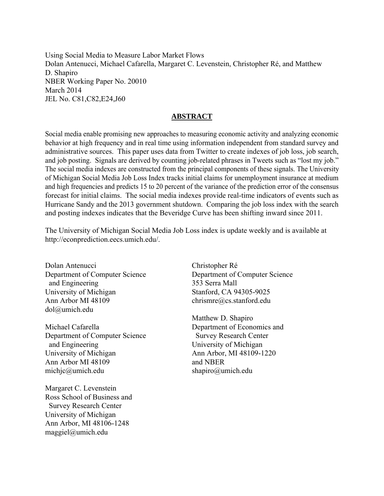Using Social Media to Measure Labor Market Flows Dolan Antenucci, Michael Cafarella, Margaret C. Levenstein, Christopher Ré, and Matthew D. Shapiro NBER Working Paper No. 20010 March 2014 JEL No. C81,C82,E24,J60

# **ABSTRACT**

Social media enable promising new approaches to measuring economic activity and analyzing economic behavior at high frequency and in real time using information independent from standard survey and administrative sources. This paper uses data from Twitter to create indexes of job loss, job search, and job posting. Signals are derived by counting job-related phrases in Tweets such as "lost my job." The social media indexes are constructed from the principal components of these signals. The University of Michigan Social Media Job Loss Index tracks initial claims for unemployment insurance at medium and high frequencies and predicts 15 to 20 percent of the variance of the prediction error of the consensus forecast for initial claims. The social media indexes provide real-time indicators of events such as Hurricane Sandy and the 2013 government shutdown. Comparing the job loss index with the search and posting indexes indicates that the Beveridge Curve has been shifting inward since 2011.

The University of Michigan Social Media Job Loss index is update weekly and is available at http://econprediction.eecs.umich.edu/.

Dolan Antenucci Department of Computer Science and Engineering University of Michigan Ann Arbor MI 48109 dol@umich.edu

Michael Cafarella Department of Computer Science and Engineering University of Michigan Ann Arbor MI 48109 michjc@umich.edu

Margaret C. Levenstein Ross School of Business and Survey Research Center University of Michigan Ann Arbor, MI 48106-1248 maggiel@umich.edu

Christopher Ré Department of Computer Science 353 Serra Mall Stanford, CA 94305-9025 chrismre@cs.stanford.edu

Matthew D. Shapiro Department of Economics and Survey Research Center University of Michigan Ann Arbor, MI 48109-1220 and NBER shapiro@umich.edu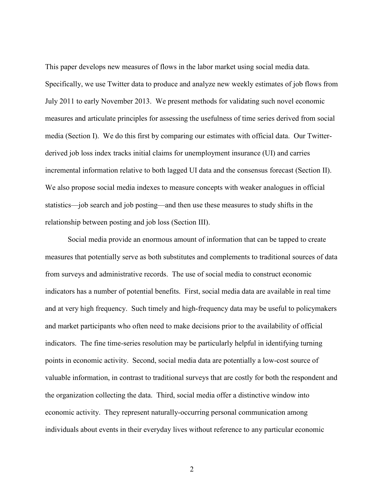This paper develops new measures of flows in the labor market using social media data. Specifically, we use Twitter data to produce and analyze new weekly estimates of job flows from July 2011 to early November 2013. We present methods for validating such novel economic measures and articulate principles for assessing the usefulness of time series derived from social media (Section I). We do this first by comparing our estimates with official data. Our Twitterderived job loss index tracks initial claims for unemployment insurance (UI) and carries incremental information relative to both lagged UI data and the consensus forecast (Section II). We also propose social media indexes to measure concepts with weaker analogues in official statistics—job search and job posting—and then use these measures to study shifts in the relationship between posting and job loss (Section III).

Social media provide an enormous amount of information that can be tapped to create measures that potentially serve as both substitutes and complements to traditional sources of data from surveys and administrative records. The use of social media to construct economic indicators has a number of potential benefits. First, social media data are available in real time and at very high frequency. Such timely and high-frequency data may be useful to policymakers and market participants who often need to make decisions prior to the availability of official indicators. The fine time-series resolution may be particularly helpful in identifying turning points in economic activity. Second, social media data are potentially a low-cost source of valuable information, in contrast to traditional surveys that are costly for both the respondent and the organization collecting the data. Third, social media offer a distinctive window into economic activity. They represent naturally-occurring personal communication among individuals about events in their everyday lives without reference to any particular economic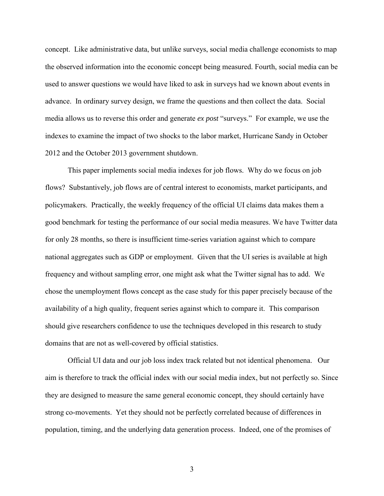concept. Like administrative data, but unlike surveys, social media challenge economists to map the observed information into the economic concept being measured. Fourth, social media can be used to answer questions we would have liked to ask in surveys had we known about events in advance. In ordinary survey design, we frame the questions and then collect the data. Social media allows us to reverse this order and generate *ex post* "surveys." For example, we use the indexes to examine the impact of two shocks to the labor market, Hurricane Sandy in October 2012 and the October 2013 government shutdown.

This paper implements social media indexes for job flows. Why do we focus on job flows? Substantively, job flows are of central interest to economists, market participants, and policymakers. Practically, the weekly frequency of the official UI claims data makes them a good benchmark for testing the performance of our social media measures. We have Twitter data for only 28 months, so there is insufficient time-series variation against which to compare national aggregates such as GDP or employment. Given that the UI series is available at high frequency and without sampling error, one might ask what the Twitter signal has to add. We chose the unemployment flows concept as the case study for this paper precisely because of the availability of a high quality, frequent series against which to compare it. This comparison should give researchers confidence to use the techniques developed in this research to study domains that are not as well-covered by official statistics.

Official UI data and our job loss index track related but not identical phenomena. Our aim is therefore to track the official index with our social media index, but not perfectly so. Since they are designed to measure the same general economic concept, they should certainly have strong co-movements. Yet they should not be perfectly correlated because of differences in population, timing, and the underlying data generation process. Indeed, one of the promises of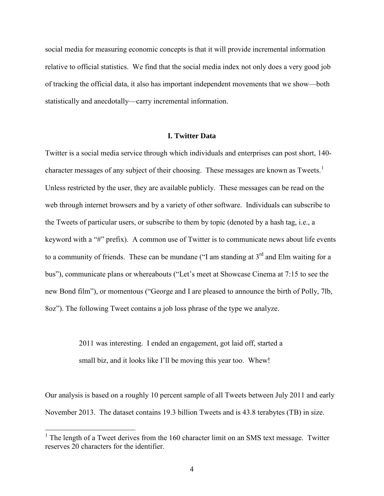social media for measuring economic concepts is that it will provide incremental information relative to official statistics. We find that the social media index not only does a very good job of tracking the official data, it also has important independent movements that we show—both statistically and anecdotally—carry incremental information.

#### **I. Twitter Data**

Twitter is a social media service through which individuals and enterprises can post short, 140- character messages of any subject of their choosing. These messages are known as Tweets.<sup>[1](#page-4-0)</sup> Unless restricted by the user, they are available publicly. These messages can be read on the web through internet browsers and by a variety of other software. Individuals can subscribe to the Tweets of particular users, or subscribe to them by topic (denoted by a hash tag, i.e., a keyword with a "#" prefix). A common use of Twitter is to communicate news about life events to a community of friends. These can be mundane ("I am standing at  $3<sup>rd</sup>$  and Elm waiting for a bus"), communicate plans or whereabouts ("Let's meet at Showcase Cinema at 7:15 to see the new Bond film"), or momentous ("George and I are pleased to announce the birth of Polly, 7lb, 8oz"). The following Tweet contains a job loss phrase of the type we analyze.

> 2011 was interesting. I ended an engagement, got laid off, started a small biz, and it looks like I'll be moving this year too. Whew!

Our analysis is based on a roughly 10 percent sample of all Tweets between July 2011 and early November 2013. The dataset contains 19.3 billion Tweets and is 43.8 terabytes (TB) in size.

<span id="page-4-0"></span> $1$  The length of a Tweet derives from the 160 character limit on an SMS text message. Twitter reserves 20 characters for the identifier.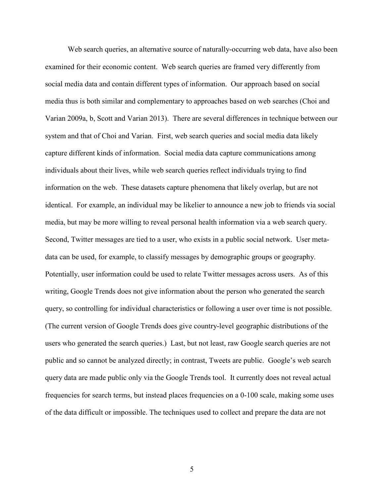Web search queries, an alternative source of naturally-occurring web data, have also been examined for their economic content. Web search queries are framed very differently from social media data and contain different types of information. Our approach based on social media thus is both similar and complementary to approaches based on web searches (Choi and Varian 2009a, b, Scott and Varian 2013). There are several differences in technique between our system and that of Choi and Varian. First, web search queries and social media data likely capture different kinds of information. Social media data capture communications among individuals about their lives, while web search queries reflect individuals trying to find information on the web. These datasets capture phenomena that likely overlap, but are not identical. For example, an individual may be likelier to announce a new job to friends via social media, but may be more willing to reveal personal health information via a web search query. Second, Twitter messages are tied to a user, who exists in a public social network. User metadata can be used, for example, to classify messages by demographic groups or geography. Potentially, user information could be used to relate Twitter messages across users. As of this writing, Google Trends does not give information about the person who generated the search query, so controlling for individual characteristics or following a user over time is not possible. (The current version of Google Trends does give country-level geographic distributions of the users who generated the search queries.) Last, but not least, raw Google search queries are not public and so cannot be analyzed directly; in contrast, Tweets are public. Google's web search query data are made public only via the Google Trends tool. It currently does not reveal actual frequencies for search terms, but instead places frequencies on a 0-100 scale, making some uses of the data difficult or impossible. The techniques used to collect and prepare the data are not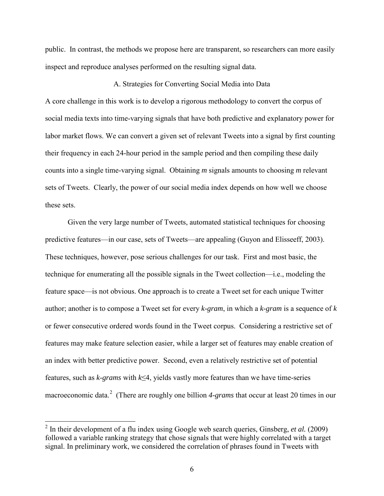public. In contrast, the methods we propose here are transparent, so researchers can more easily inspect and reproduce analyses performed on the resulting signal data.

## A. Strategies for Converting Social Media into Data

A core challenge in this work is to develop a rigorous methodology to convert the corpus of social media texts into time-varying signals that have both predictive and explanatory power for labor market flows. We can convert a given set of relevant Tweets into a signal by first counting their frequency in each 24-hour period in the sample period and then compiling these daily counts into a single time-varying signal. Obtaining *m* signals amounts to choosing *m* relevant sets of Tweets. Clearly, the power of our social media index depends on how well we choose these sets.

Given the very large number of Tweets, automated statistical techniques for choosing predictive features—in our case, sets of Tweets—are appealing (Guyon and Elisseeff, 2003). These techniques, however, pose serious challenges for our task. First and most basic, the technique for enumerating all the possible signals in the Tweet collection—i.e., modeling the feature space—is not obvious. One approach is to create a Tweet set for each unique Twitter author; another is to compose a Tweet set for every *k-gram*, in which a *k-gram* is a sequence of *k* or fewer consecutive ordered words found in the Tweet corpus. Considering a restrictive set of features may make feature selection easier, while a larger set of features may enable creation of an index with better predictive power. Second, even a relatively restrictive set of potential features, such as *k-grams* with *k*≤4, yields vastly more features than we have time-series macroeconomic data.<sup>[2](#page-6-0)</sup> (There are roughly one billion 4-grams that occur at least 20 times in our

<span id="page-6-0"></span><sup>2</sup> In their development of a flu index using Google web search queries, Ginsberg, *et al.* (2009) followed a variable ranking strategy that chose signals that were highly correlated with a target signal. In preliminary work, we considered the correlation of phrases found in Tweets with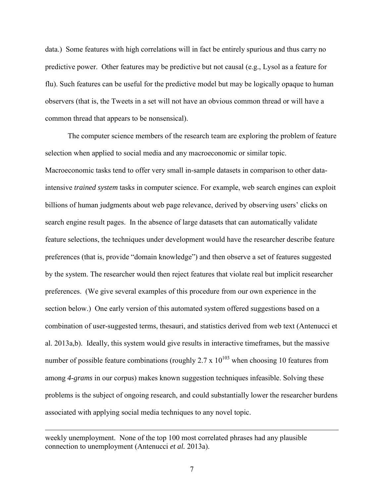data.) Some features with high correlations will in fact be entirely spurious and thus carry no predictive power. Other features may be predictive but not causal (e.g., Lysol as a feature for flu). Such features can be useful for the predictive model but may be logically opaque to human observers (that is, the Tweets in a set will not have an obvious common thread or will have a common thread that appears to be nonsensical).

The computer science members of the research team are exploring the problem of feature selection when applied to social media and any macroeconomic or similar topic. Macroeconomic tasks tend to offer very small in-sample datasets in comparison to other dataintensive *trained system* tasks in computer science. For example, web search engines can exploit billions of human judgments about web page relevance, derived by observing users' clicks on search engine result pages. In the absence of large datasets that can automatically validate feature selections, the techniques under development would have the researcher describe feature preferences (that is, provide "domain knowledge") and then observe a set of features suggested by the system. The researcher would then reject features that violate real but implicit researcher preferences. (We give several examples of this procedure from our own experience in the section below.) One early version of this automated system offered suggestions based on a combination of user-suggested terms, thesauri, and statistics derived from web text (Antenucci et al. 2013a,b). Ideally, this system would give results in interactive timeframes, but the massive number of possible feature combinations (roughly  $2.7 \times 10^{103}$  when choosing 10 features from among *4-grams* in our corpus) makes known suggestion techniques infeasible. Solving these problems is the subject of ongoing research, and could substantially lower the researcher burdens associated with applying social media techniques to any novel topic.

weekly unemployment. None of the top 100 most correlated phrases had any plausible connection to unemployment (Antenucci *et al.* 2013a).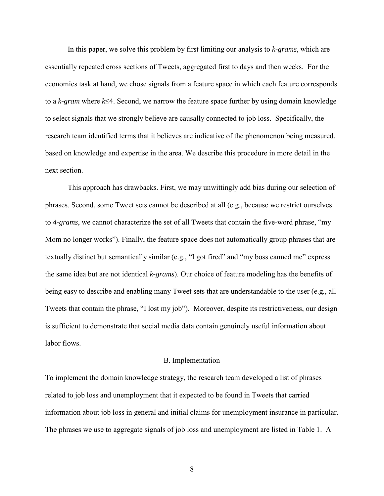In this paper, we solve this problem by first limiting our analysis to *k-grams*, which are essentially repeated cross sections of Tweets, aggregated first to days and then weeks. For the economics task at hand, we chose signals from a feature space in which each feature corresponds to a *k-gram* where *k*≤4. Second, we narrow the feature space further by using domain knowledge to select signals that we strongly believe are causally connected to job loss. Specifically, the research team identified terms that it believes are indicative of the phenomenon being measured, based on knowledge and expertise in the area. We describe this procedure in more detail in the next section.

This approach has drawbacks. First, we may unwittingly add bias during our selection of phrases. Second, some Tweet sets cannot be described at all (e.g., because we restrict ourselves to *4-grams*, we cannot characterize the set of all Tweets that contain the five-word phrase, "my Mom no longer works"). Finally, the feature space does not automatically group phrases that are textually distinct but semantically similar (e.g., "I got fired" and "my boss canned me" express the same idea but are not identical *k-grams*). Our choice of feature modeling has the benefits of being easy to describe and enabling many Tweet sets that are understandable to the user (e.g*.*, all Tweets that contain the phrase, "I lost my job"). Moreover, despite its restrictiveness, our design is sufficient to demonstrate that social media data contain genuinely useful information about labor flows.

#### B. Implementation

To implement the domain knowledge strategy, the research team developed a list of phrases related to job loss and unemployment that it expected to be found in Tweets that carried information about job loss in general and initial claims for unemployment insurance in particular. The phrases we use to aggregate signals of job loss and unemployment are listed in Table 1. A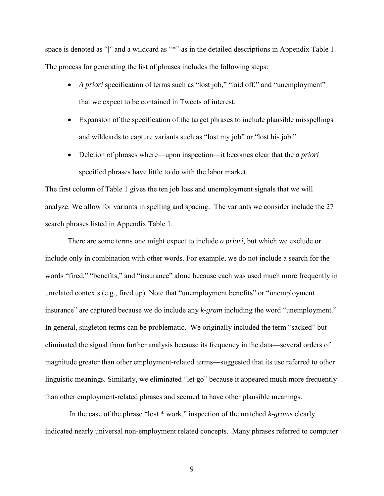space is denoted as "" and a wildcard as "\*" as in the detailed descriptions in Appendix Table 1. The process for generating the list of phrases includes the following steps:

- *A priori* specification of terms such as "lost job," "laid off," and "unemployment" that we expect to be contained in Tweets of interest.
- Expansion of the specification of the target phrases to include plausible misspellings and wildcards to capture variants such as "lost my job" or "lost his job."
- Deletion of phrases where—upon inspection—it becomes clear that the *a priori*  specified phrases have little to do with the labor market.

The first column of Table 1 gives the ten job loss and unemployment signals that we will analyze. We allow for variants in spelling and spacing. The variants we consider include the 27 search phrases listed in Appendix Table 1.

There are some terms one might expect to include *a priori,* but which we exclude or include only in combination with other words*.* For example, we do not include a search for the words "fired," "benefits," and "insurance" alone because each was used much more frequently in unrelated contexts (e.g., fired up). Note that "unemployment benefits" or "unemployment insurance" are captured because we do include any *k-gram* including the word "unemployment." In general, singleton terms can be problematic. We originally included the term "sacked" but eliminated the signal from further analysis because its frequency in the data—several orders of magnitude greater than other employment-related terms—suggested that its use referred to other linguistic meanings. Similarly, we eliminated "let go" because it appeared much more frequently than other employment-related phrases and seemed to have other plausible meanings.

In the case of the phrase "lost \* work," inspection of the matched *k-grams* clearly indicated nearly universal non-employment related concepts. Many phrases referred to computer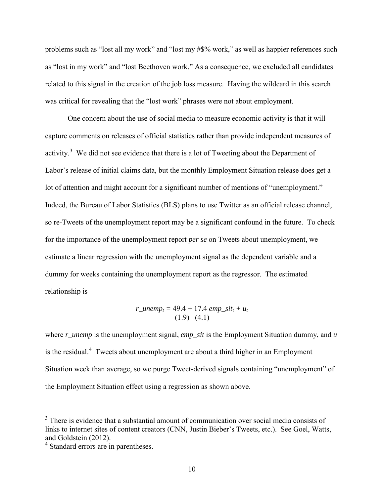problems such as "lost all my work" and "lost my #\$% work," as well as happier references such as "lost in my work" and "lost Beethoven work." As a consequence, we excluded all candidates related to this signal in the creation of the job loss measure. Having the wildcard in this search was critical for revealing that the "lost work" phrases were not about employment.

One concern about the use of social media to measure economic activity is that it will capture comments on releases of official statistics rather than provide independent measures of activity.<sup>[3](#page-10-0)</sup> We did not see evidence that there is a lot of Tweeting about the Department of Labor's release of initial claims data, but the monthly Employment Situation release does get a lot of attention and might account for a significant number of mentions of "unemployment." Indeed, the Bureau of Labor Statistics (BLS) plans to use Twitter as an official release channel, so re-Tweets of the unemployment report may be a significant confound in the future. To check for the importance of the unemployment report *per se* on Tweets about unemployment, we estimate a linear regression with the unemployment signal as the dependent variable and a dummy for weeks containing the unemployment report as the regressor. The estimated relationship is

$$
r\_unemp_t = 49.4 + 17.4 \text{ }emp\_sit_t + u_t
$$

$$
(1.9) (4.1)
$$

where *r\_unemp* is the unemployment signal, *emp\_sit* is the Employment Situation dummy, and *u* is the residual.<sup>[4](#page-10-1)</sup> Tweets about unemployment are about a third higher in an Employment Situation week than average, so we purge Tweet-derived signals containing "unemployment" of the Employment Situation effect using a regression as shown above.

<span id="page-10-0"></span><sup>&</sup>lt;sup>3</sup> There is evidence that a substantial amount of communication over social media consists of links to internet sites of content creators (CNN, Justin Bieber's Tweets, etc.). See Goel, Watts, and Goldstein (2012).

<span id="page-10-1"></span><sup>&</sup>lt;sup>4</sup> Standard errors are in parentheses.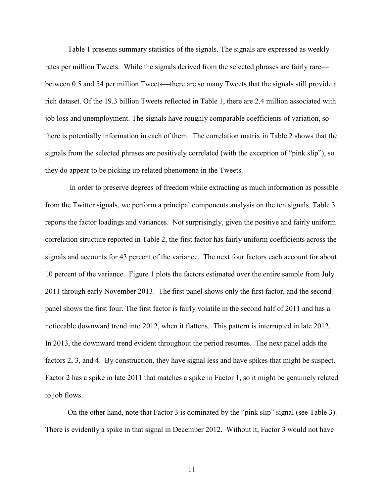Table 1 presents summary statistics of the signals. The signals are expressed as weekly rates per million Tweets. While the signals derived from the selected phrases are fairly rare between 0.5 and 54 per million Tweets—there are so many Tweets that the signals still provide a rich dataset. Of the 19.3 billion Tweets reflected in Table 1, there are 2.4 million associated with job loss and unemployment. The signals have roughly comparable coefficients of variation, so there is potentially information in each of them. The correlation matrix in Table 2 shows that the signals from the selected phrases are positively correlated (with the exception of "pink slip"), so they do appear to be picking up related phenomena in the Tweets.

 In order to preserve degrees of freedom while extracting as much information as possible from the Twitter signals, we perform a principal components analysis on the ten signals. Table 3 reports the factor loadings and variances. Not surprisingly, given the positive and fairly uniform correlation structure reported in Table 2, the first factor has fairly uniform coefficients across the signals and accounts for 43 percent of the variance. The next four factors each account for about 10 percent of the variance. Figure 1 plots the factors estimated over the entire sample from July 2011 through early November 2013. The first panel shows only the first factor, and the second panel shows the first four. The first factor is fairly volatile in the second half of 2011 and has a noticeable downward trend into 2012, when it flattens. This pattern is interrupted in late 2012. In 2013, the downward trend evident throughout the period resumes. The next panel adds the factors 2, 3, and 4. By construction, they have signal less and have spikes that might be suspect. Factor 2 has a spike in late 2011 that matches a spike in Factor 1, so it might be genuinely related to job flows.

On the other hand, note that Factor 3 is dominated by the "pink slip" signal (see Table 3). There is evidently a spike in that signal in December 2012. Without it, Factor 3 would not have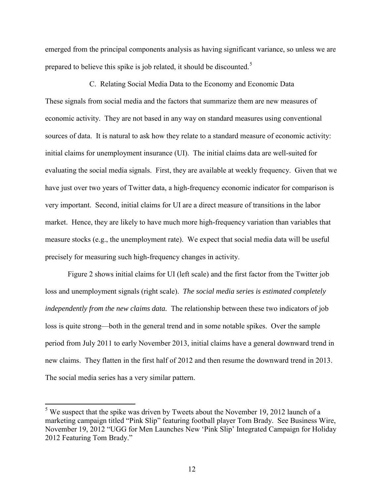emerged from the principal components analysis as having significant variance, so unless we are prepared to believe this spike is job related, it should be discounted.<sup>[5](#page-12-0)</sup>

C. Relating Social Media Data to the Economy and Economic Data These signals from social media and the factors that summarize them are new measures of economic activity. They are not based in any way on standard measures using conventional sources of data. It is natural to ask how they relate to a standard measure of economic activity: initial claims for unemployment insurance (UI). The initial claims data are well-suited for evaluating the social media signals. First, they are available at weekly frequency. Given that we have just over two years of Twitter data, a high-frequency economic indicator for comparison is very important. Second, initial claims for UI are a direct measure of transitions in the labor market. Hence, they are likely to have much more high-frequency variation than variables that measure stocks (e.g., the unemployment rate). We expect that social media data will be useful precisely for measuring such high-frequency changes in activity.

Figure 2 shows initial claims for UI (left scale) and the first factor from the Twitter job loss and unemployment signals (right scale). *The social media series is estimated completely independently from the new claims data.* The relationship between these two indicators of job loss is quite strong—both in the general trend and in some notable spikes. Over the sample period from July 2011 to early November 2013, initial claims have a general downward trend in new claims. They flatten in the first half of 2012 and then resume the downward trend in 2013. The social media series has a very similar pattern.

<span id="page-12-0"></span> $<sup>5</sup>$  We suspect that the spike was driven by Tweets about the November 19, 2012 launch of a</sup> marketing campaign titled "Pink Slip" featuring football player Tom Brady. See Business Wire, November 19, 2012 "UGG for Men Launches New 'Pink Slip' Integrated Campaign for Holiday 2012 Featuring Tom Brady."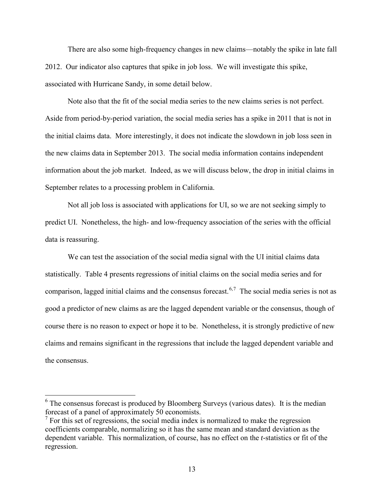There are also some high-frequency changes in new claims—notably the spike in late fall 2012. Our indicator also captures that spike in job loss. We will investigate this spike, associated with Hurricane Sandy, in some detail below.

Note also that the fit of the social media series to the new claims series is not perfect. Aside from period-by-period variation, the social media series has a spike in 2011 that is not in the initial claims data. More interestingly, it does not indicate the slowdown in job loss seen in the new claims data in September 2013. The social media information contains independent information about the job market. Indeed, as we will discuss below, the drop in initial claims in September relates to a processing problem in California.

Not all job loss is associated with applications for UI, so we are not seeking simply to predict UI. Nonetheless, the high- and low-frequency association of the series with the official data is reassuring.

We can test the association of the social media signal with the UI initial claims data statistically. Table 4 presents regressions of initial claims on the social media series and for comparison, lagged initial claims and the consensus forecast.<sup>[6,](#page-13-0)[7](#page-13-1)</sup> The social media series is not as good a predictor of new claims as are the lagged dependent variable or the consensus, though of course there is no reason to expect or hope it to be. Nonetheless, it is strongly predictive of new claims and remains significant in the regressions that include the lagged dependent variable and the consensus.

<span id="page-13-0"></span> $6$  The consensus forecast is produced by Bloomberg Surveys (various dates). It is the median forecast of a panel of approximately 50 economists.

<span id="page-13-1"></span> $<sup>7</sup>$  For this set of regressions, the social media index is normalized to make the regression</sup> coefficients comparable, normalizing so it has the same mean and standard deviation as the dependent variable. This normalization, of course, has no effect on the *t-*statistics or fit of the regression.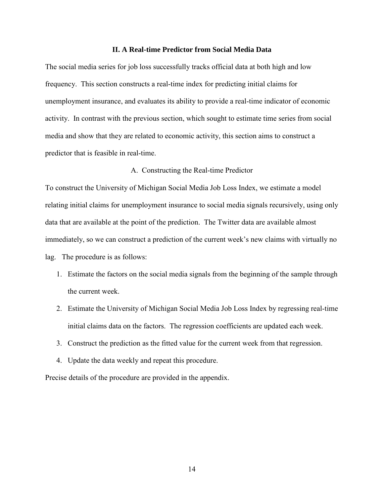#### **II. A Real-time Predictor from Social Media Data**

The social media series for job loss successfully tracks official data at both high and low frequency. This section constructs a real-time index for predicting initial claims for unemployment insurance, and evaluates its ability to provide a real-time indicator of economic activity. In contrast with the previous section, which sought to estimate time series from social media and show that they are related to economic activity, this section aims to construct a predictor that is feasible in real-time.

## A. Constructing the Real-time Predictor

To construct the University of Michigan Social Media Job Loss Index, we estimate a model relating initial claims for unemployment insurance to social media signals recursively, using only data that are available at the point of the prediction. The Twitter data are available almost immediately, so we can construct a prediction of the current week's new claims with virtually no lag. The procedure is as follows:

- 1. Estimate the factors on the social media signals from the beginning of the sample through the current week.
- 2. Estimate the University of Michigan Social Media Job Loss Index by regressing real-time initial claims data on the factors. The regression coefficients are updated each week.
- 3. Construct the prediction as the fitted value for the current week from that regression.
- 4. Update the data weekly and repeat this procedure.

Precise details of the procedure are provided in the appendix.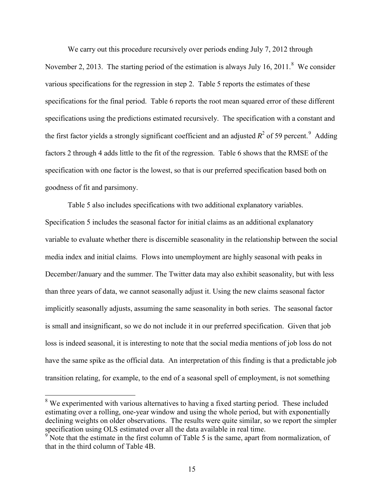We carry out this procedure recursively over periods ending July 7, 2012 through November 2, 2013. The starting period of the estimation is always July 16, 2011. $8$  We consider various specifications for the regression in step 2. Table 5 reports the estimates of these specifications for the final period. Table 6 reports the root mean squared error of these different specifications using the predictions estimated recursively. The specification with a constant and the first factor yields a strongly significant coefficient and an adjusted  $R^2$  of 5[9](#page-15-1) percent.<sup>9</sup> Adding factors 2 through 4 adds little to the fit of the regression. Table 6 shows that the RMSE of the specification with one factor is the lowest, so that is our preferred specification based both on goodness of fit and parsimony.

Table 5 also includes specifications with two additional explanatory variables. Specification 5 includes the seasonal factor for initial claims as an additional explanatory variable to evaluate whether there is discernible seasonality in the relationship between the social media index and initial claims. Flows into unemployment are highly seasonal with peaks in December/January and the summer. The Twitter data may also exhibit seasonality, but with less than three years of data, we cannot seasonally adjust it. Using the new claims seasonal factor implicitly seasonally adjusts, assuming the same seasonality in both series. The seasonal factor is small and insignificant, so we do not include it in our preferred specification. Given that job loss is indeed seasonal, it is interesting to note that the social media mentions of job loss do not have the same spike as the official data. An interpretation of this finding is that a predictable job transition relating, for example, to the end of a seasonal spell of employment, is not something

<span id="page-15-0"></span><sup>&</sup>lt;sup>8</sup> We experimented with various alternatives to having a fixed starting period. These included estimating over a rolling, one-year window and using the whole period, but with exponentially declining weights on older observations. The results were quite similar, so we report the simpler specification using OLS estimated over all the data available in real time.

<span id="page-15-1"></span>Note that the estimate in the first column of Table 5 is the same, apart from normalization, of that in the third column of Table 4B.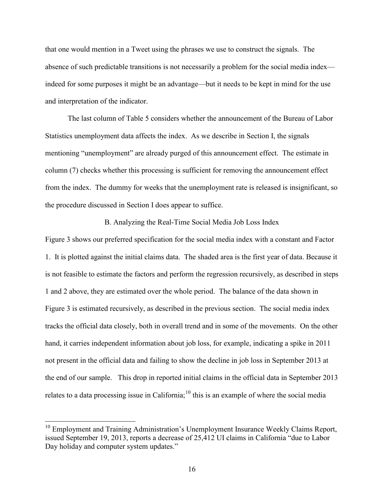that one would mention in a Tweet using the phrases we use to construct the signals. The absence of such predictable transitions is not necessarily a problem for the social media index indeed for some purposes it might be an advantage—but it needs to be kept in mind for the use and interpretation of the indicator.

 The last column of Table 5 considers whether the announcement of the Bureau of Labor Statistics unemployment data affects the index. As we describe in Section I, the signals mentioning "unemployment" are already purged of this announcement effect. The estimate in column (7) checks whether this processing is sufficient for removing the announcement effect from the index. The dummy for weeks that the unemployment rate is released is insignificant, so the procedure discussed in Section I does appear to suffice.

# B. Analyzing the Real-Time Social Media Job Loss Index

Figure 3 shows our preferred specification for the social media index with a constant and Factor 1. It is plotted against the initial claims data. The shaded area is the first year of data. Because it is not feasible to estimate the factors and perform the regression recursively, as described in steps 1 and 2 above, they are estimated over the whole period. The balance of the data shown in Figure 3 is estimated recursively, as described in the previous section. The social media index tracks the official data closely, both in overall trend and in some of the movements. On the other hand, it carries independent information about job loss, for example, indicating a spike in 2011 not present in the official data and failing to show the decline in job loss in September 2013 at the end of our sample. This drop in reported initial claims in the official data in September 2013 relates to a data processing issue in California;  $^{10}$  $^{10}$  $^{10}$  this is an example of where the social media

<span id="page-16-0"></span> $10$  Employment and Training Administration's Unemployment Insurance Weekly Claims Report, issued September 19, 2013, reports a decrease of 25,412 UI claims in California "due to Labor Day holiday and computer system updates."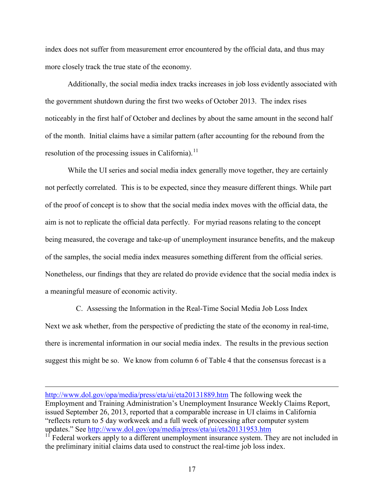index does not suffer from measurement error encountered by the official data, and thus may more closely track the true state of the economy.

 Additionally, the social media index tracks increases in job loss evidently associated with the government shutdown during the first two weeks of October 2013. The index rises noticeably in the first half of October and declines by about the same amount in the second half of the month. Initial claims have a similar pattern (after accounting for the rebound from the resolution of the processing issues in California).<sup>[11](#page-17-0)</sup>

While the UI series and social media index generally move together, they are certainly not perfectly correlated. This is to be expected, since they measure different things. While part of the proof of concept is to show that the social media index moves with the official data, the aim is not to replicate the official data perfectly. For myriad reasons relating to the concept being measured, the coverage and take-up of unemployment insurance benefits, and the makeup of the samples, the social media index measures something different from the official series. Nonetheless, our findings that they are related do provide evidence that the social media index is a meaningful measure of economic activity.

C. Assessing the Information in the Real-Time Social Media Job Loss Index Next we ask whether, from the perspective of predicting the state of the economy in real-time, there is incremental information in our social media index. The results in the previous section suggest this might be so. We know from column 6 of Table 4 that the consensus forecast is a

<http://www.dol.gov/opa/media/press/eta/ui/eta20131889.htm>The following week the Employment and Training Administration's Unemployment Insurance Weekly Claims Report, issued September 26, 2013, reported that a comparable increase in UI claims in California "reflects return to 5 day workweek and a full week of processing after computer system updates." See<http://www.dol.gov/opa/media/press/eta/ui/eta20131953.htm>

<span id="page-17-0"></span> $11$  Federal workers apply to a different unemployment insurance system. They are not included in the preliminary initial claims data used to construct the real-time job loss index.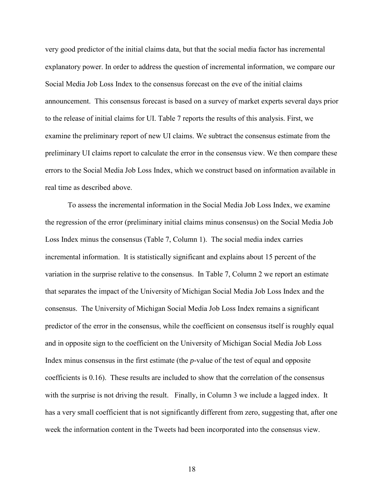very good predictor of the initial claims data, but that the social media factor has incremental explanatory power. In order to address the question of incremental information, we compare our Social Media Job Loss Index to the consensus forecast on the eve of the initial claims announcement. This consensus forecast is based on a survey of market experts several days prior to the release of initial claims for UI. Table 7 reports the results of this analysis. First, we examine the preliminary report of new UI claims. We subtract the consensus estimate from the preliminary UI claims report to calculate the error in the consensus view. We then compare these errors to the Social Media Job Loss Index, which we construct based on information available in real time as described above.

To assess the incremental information in the Social Media Job Loss Index, we examine the regression of the error (preliminary initial claims minus consensus) on the Social Media Job Loss Index minus the consensus (Table 7, Column 1). The social media index carries incremental information. It is statistically significant and explains about 15 percent of the variation in the surprise relative to the consensus. In Table 7, Column 2 we report an estimate that separates the impact of the University of Michigan Social Media Job Loss Index and the consensus. The University of Michigan Social Media Job Loss Index remains a significant predictor of the error in the consensus, while the coefficient on consensus itself is roughly equal and in opposite sign to the coefficient on the University of Michigan Social Media Job Loss Index minus consensus in the first estimate (the *p-*value of the test of equal and opposite coefficients is 0.16). These results are included to show that the correlation of the consensus with the surprise is not driving the result. Finally, in Column 3 we include a lagged index. It has a very small coefficient that is not significantly different from zero, suggesting that, after one week the information content in the Tweets had been incorporated into the consensus view.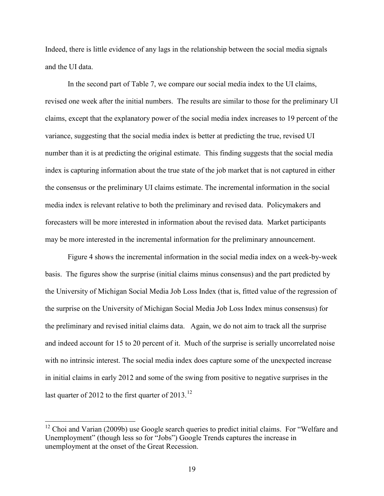Indeed, there is little evidence of any lags in the relationship between the social media signals and the UI data.

In the second part of Table 7, we compare our social media index to the UI claims, revised one week after the initial numbers. The results are similar to those for the preliminary UI claims, except that the explanatory power of the social media index increases to 19 percent of the variance, suggesting that the social media index is better at predicting the true, revised UI number than it is at predicting the original estimate. This finding suggests that the social media index is capturing information about the true state of the job market that is not captured in either the consensus or the preliminary UI claims estimate. The incremental information in the social media index is relevant relative to both the preliminary and revised data. Policymakers and forecasters will be more interested in information about the revised data. Market participants may be more interested in the incremental information for the preliminary announcement.

Figure 4 shows the incremental information in the social media index on a week-by-week basis. The figures show the surprise (initial claims minus consensus) and the part predicted by the University of Michigan Social Media Job Loss Index (that is, fitted value of the regression of the surprise on the University of Michigan Social Media Job Loss Index minus consensus) for the preliminary and revised initial claims data. Again, we do not aim to track all the surprise and indeed account for 15 to 20 percent of it. Much of the surprise is serially uncorrelated noise with no intrinsic interest. The social media index does capture some of the unexpected increase in initial claims in early 2012 and some of the swing from positive to negative surprises in the last quarter of 20[12](#page-19-0) to the first quarter of  $2013$ .<sup>12</sup>

<span id="page-19-0"></span> $12$  Choi and Varian (2009b) use Google search queries to predict initial claims. For "Welfare and Unemployment" (though less so for "Jobs") Google Trends captures the increase in unemployment at the onset of the Great Recession.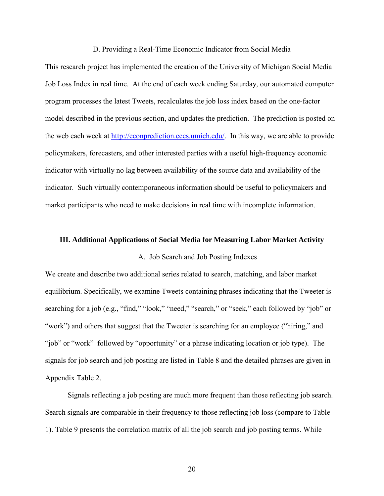#### D. Providing a Real-Time Economic Indicator from Social Media

This research project has implemented the creation of the University of Michigan Social Media Job Loss Index in real time. At the end of each week ending Saturday, our automated computer program processes the latest Tweets, recalculates the job loss index based on the one-factor model described in the previous section, and updates the prediction. The prediction is posted on the web each week at [http://econprediction.eecs.umich.edu/.](http://econprediction.eecs.umich.edu/) In this way, we are able to provide policymakers, forecasters, and other interested parties with a useful high-frequency economic indicator with virtually no lag between availability of the source data and availability of the indicator. Such virtually contemporaneous information should be useful to policymakers and market participants who need to make decisions in real time with incomplete information.

## **III. Additional Applications of Social Media for Measuring Labor Market Activity**

#### A. Job Search and Job Posting Indexes

We create and describe two additional series related to search, matching, and labor market equilibrium. Specifically, we examine Tweets containing phrases indicating that the Tweeter is searching for a job (e.g., "find," "look," "need," "search," or "seek," each followed by "job" or "work") and others that suggest that the Tweeter is searching for an employee ("hiring," and "job" or "work" followed by "opportunity" or a phrase indicating location or job type). The signals for job search and job posting are listed in Table 8 and the detailed phrases are given in Appendix Table 2.

Signals reflecting a job posting are much more frequent than those reflecting job search. Search signals are comparable in their frequency to those reflecting job loss (compare to Table 1). Table 9 presents the correlation matrix of all the job search and job posting terms. While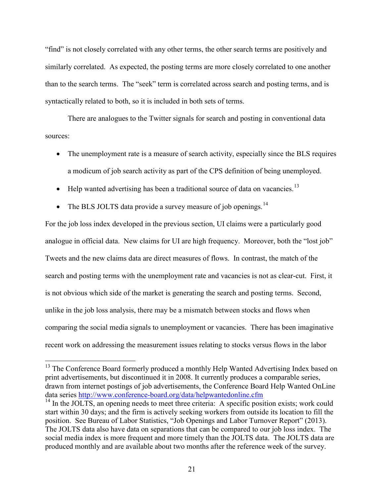"find" is not closely correlated with any other terms, the other search terms are positively and similarly correlated. As expected, the posting terms are more closely correlated to one another than to the search terms. The "seek" term is correlated across search and posting terms, and is syntactically related to both, so it is included in both sets of terms.

There are analogues to the Twitter signals for search and posting in conventional data sources:

- The unemployment rate is a measure of search activity, especially since the BLS requires a modicum of job search activity as part of the CPS definition of being unemployed.
- Help wanted advertising has been a traditional source of data on vacancies.<sup>[13](#page-21-0)</sup>
- The BLS JOLTS data provide a survey measure of job openings.<sup>[14](#page-21-1)</sup>

 $\overline{a}$ 

For the job loss index developed in the previous section, UI claims were a particularly good analogue in official data. New claims for UI are high frequency. Moreover, both the "lost job" Tweets and the new claims data are direct measures of flows. In contrast, the match of the search and posting terms with the unemployment rate and vacancies is not as clear-cut. First, it is not obvious which side of the market is generating the search and posting terms. Second, unlike in the job loss analysis, there may be a mismatch between stocks and flows when comparing the social media signals to unemployment or vacancies. There has been imaginative recent work on addressing the measurement issues relating to stocks versus flows in the labor

<span id="page-21-0"></span><sup>&</sup>lt;sup>13</sup> The Conference Board formerly produced a monthly Help Wanted Advertising Index based on print advertisements, but discontinued it in 2008. It currently produces a comparable series, drawn from internet postings of job advertisements, the Conference Board Help Wanted OnLine data series<http://www.conference-board.org/data/helpwantedonline.cfm>

<span id="page-21-1"></span> $14$  In the JOLTS, an opening needs to meet three criteria: A specific position exists; work could start within 30 days; and the firm is actively seeking workers from outside its location to fill the position. See Bureau of Labor Statistics, "Job Openings and Labor Turnover Report" (2013). The JOLTS data also have data on separations that can be compared to our job loss index. The social media index is more frequent and more timely than the JOLTS data. The JOLTS data are produced monthly and are available about two months after the reference week of the survey.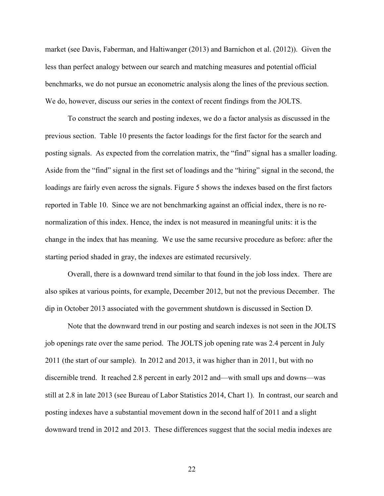market (see Davis, Faberman, and Haltiwanger (2013) and Barnichon et al. (2012)). Given the less than perfect analogy between our search and matching measures and potential official benchmarks, we do not pursue an econometric analysis along the lines of the previous section. We do, however, discuss our series in the context of recent findings from the JOLTS.

To construct the search and posting indexes, we do a factor analysis as discussed in the previous section. Table 10 presents the factor loadings for the first factor for the search and posting signals. As expected from the correlation matrix, the "find" signal has a smaller loading. Aside from the "find" signal in the first set of loadings and the "hiring" signal in the second, the loadings are fairly even across the signals. Figure 5 shows the indexes based on the first factors reported in Table 10. Since we are not benchmarking against an official index, there is no renormalization of this index. Hence, the index is not measured in meaningful units: it is the change in the index that has meaning. We use the same recursive procedure as before: after the starting period shaded in gray, the indexes are estimated recursively.

Overall, there is a downward trend similar to that found in the job loss index. There are also spikes at various points, for example, December 2012, but not the previous December. The dip in October 2013 associated with the government shutdown is discussed in Section D.

Note that the downward trend in our posting and search indexes is not seen in the JOLTS job openings rate over the same period. The JOLTS job opening rate was 2.4 percent in July 2011 (the start of our sample). In 2012 and 2013, it was higher than in 2011, but with no discernible trend. It reached 2.8 percent in early 2012 and—with small ups and downs—was still at 2.8 in late 2013 (see Bureau of Labor Statistics 2014, Chart 1). In contrast, our search and posting indexes have a substantial movement down in the second half of 2011 and a slight downward trend in 2012 and 2013. These differences suggest that the social media indexes are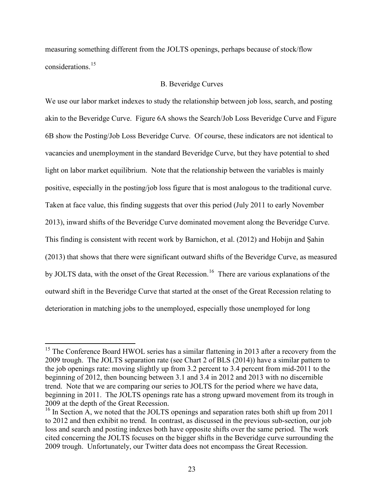measuring something different from the JOLTS openings, perhaps because of stock/flow considerations<sup>[15](#page-23-0)</sup>

# B. Beveridge Curves

We use our labor market indexes to study the relationship between job loss, search, and posting akin to the Beveridge Curve. Figure 6A shows the Search/Job Loss Beveridge Curve and Figure 6B show the Posting/Job Loss Beveridge Curve. Of course, these indicators are not identical to vacancies and unemployment in the standard Beveridge Curve, but they have potential to shed light on labor market equilibrium. Note that the relationship between the variables is mainly positive, especially in the posting/job loss figure that is most analogous to the traditional curve. Taken at face value, this finding suggests that over this period (July 2011 to early November 2013), inward shifts of the Beveridge Curve dominated movement along the Beveridge Curve. This finding is consistent with recent work by Barnichon, et al. (2012) and Hobijn and Şahin (2013) that shows that there were significant outward shifts of the Beveridge Curve, as measured by JOLTS data, with the onset of the Great Recession.<sup>16</sup> There are various explanations of the outward shift in the Beveridge Curve that started at the onset of the Great Recession relating to deterioration in matching jobs to the unemployed, especially those unemployed for long

<span id="page-23-0"></span> $15$  The Conference Board HWOL series has a similar flattening in 2013 after a recovery from the 2009 trough. The JOLTS separation rate (see Chart 2 of BLS (2014)) have a similar pattern to the job openings rate: moving slightly up from 3.2 percent to 3.4 percent from mid-2011 to the beginning of 2012, then bouncing between 3.1 and 3.4 in 2012 and 2013 with no discernible trend. Note that we are comparing our series to JOLTS for the period where we have data, beginning in 2011. The JOLTS openings rate has a strong upward movement from its trough in 2009 at the depth of the Great Recession.

<span id="page-23-1"></span><sup>&</sup>lt;sup>16</sup> In Section A, we noted that the JOLTS openings and separation rates both shift up from 2011 to 2012 and then exhibit no trend. In contrast, as discussed in the previous sub-section, our job loss and search and posting indexes both have opposite shifts over the same period. The work cited concerning the JOLTS focuses on the bigger shifts in the Beveridge curve surrounding the 2009 trough. Unfortunately, our Twitter data does not encompass the Great Recession.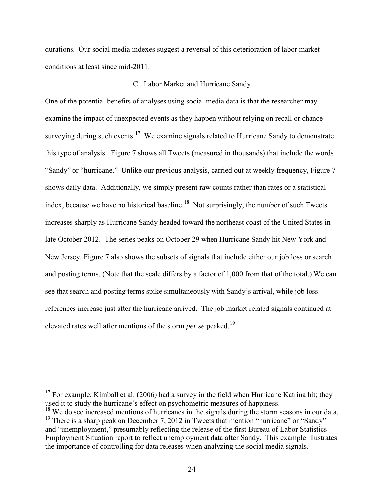durations. Our social media indexes suggest a reversal of this deterioration of labor market conditions at least since mid-2011.

# C. Labor Market and Hurricane Sandy

One of the potential benefits of analyses using social media data is that the researcher may examine the impact of unexpected events as they happen without relying on recall or chance surveying during such events.<sup>17</sup> We examine signals related to Hurricane Sandy to demonstrate this type of analysis. Figure 7 shows all Tweets (measured in thousands) that include the words "Sandy" or "hurricane." Unlike our previous analysis, carried out at weekly frequency, Figure 7 shows daily data. Additionally, we simply present raw counts rather than rates or a statistical index, because we have no historical baseline.<sup>18</sup> Not surprisingly, the number of such Tweets increases sharply as Hurricane Sandy headed toward the northeast coast of the United States in late October 2012. The series peaks on October 29 when Hurricane Sandy hit New York and New Jersey. Figure 7 also shows the subsets of signals that include either our job loss or search and posting terms. (Note that the scale differs by a factor of 1,000 from that of the total.) We can see that search and posting terms spike simultaneously with Sandy's arrival, while job loss references increase just after the hurricane arrived. The job market related signals continued at elevated rates well after mentions of the storm *per se* peaked.[19](#page-24-2)

<span id="page-24-0"></span> $17$  For example, Kimball et al. (2006) had a survey in the field when Hurricane Katrina hit; they used it to study the hurricane's effect on psychometric measures of happiness.

<span id="page-24-2"></span><span id="page-24-1"></span><sup>&</sup>lt;sup>18</sup> We do see increased mentions of hurricanes in the signals during the storm seasons in our data. <sup>19</sup> There is a sharp peak on December 7, 2012 in Tweets that mention "hurricane" or "Sandy" and "unemployment," presumably reflecting the release of the first Bureau of Labor Statistics Employment Situation report to reflect unemployment data after Sandy. This example illustrates the importance of controlling for data releases when analyzing the social media signals.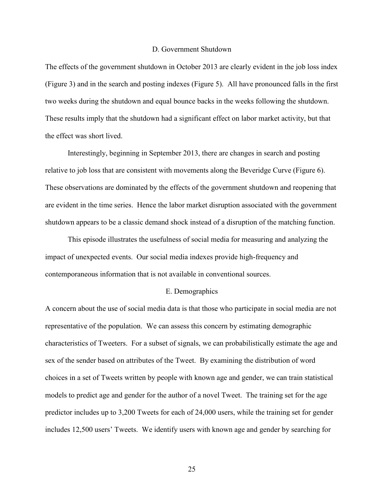## D. Government Shutdown

The effects of the government shutdown in October 2013 are clearly evident in the job loss index (Figure 3) and in the search and posting indexes (Figure 5). All have pronounced falls in the first two weeks during the shutdown and equal bounce backs in the weeks following the shutdown. These results imply that the shutdown had a significant effect on labor market activity, but that the effect was short lived.

Interestingly, beginning in September 2013, there are changes in search and posting relative to job loss that are consistent with movements along the Beveridge Curve (Figure 6). These observations are dominated by the effects of the government shutdown and reopening that are evident in the time series. Hence the labor market disruption associated with the government shutdown appears to be a classic demand shock instead of a disruption of the matching function.

This episode illustrates the usefulness of social media for measuring and analyzing the impact of unexpected events. Our social media indexes provide high-frequency and contemporaneous information that is not available in conventional sources.

#### E. Demographics

A concern about the use of social media data is that those who participate in social media are not representative of the population. We can assess this concern by estimating demographic characteristics of Tweeters. For a subset of signals, we can probabilistically estimate the age and sex of the sender based on attributes of the Tweet. By examining the distribution of word choices in a set of Tweets written by people with known age and gender, we can train statistical models to predict age and gender for the author of a novel Tweet. The training set for the age predictor includes up to 3,200 Tweets for each of 24,000 users, while the training set for gender includes 12,500 users' Tweets. We identify users with known age and gender by searching for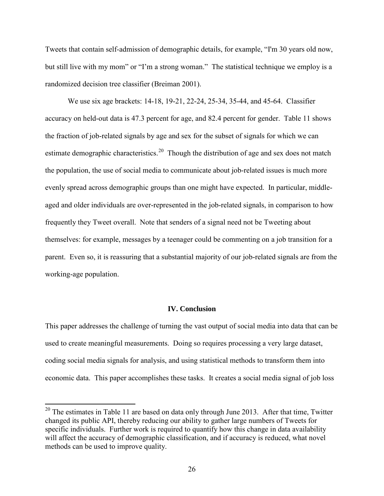Tweets that contain self-admission of demographic details, for example, "I'm 30 years old now, but still live with my mom" or "I'm a strong woman." The statistical technique we employ is a randomized decision tree classifier (Breiman 2001).

We use six age brackets: 14-18, 19-21, 22-24, 25-34, 35-44, and 45-64. Classifier accuracy on held-out data is 47.3 percent for age, and 82.4 percent for gender. Table 11 shows the fraction of job-related signals by age and sex for the subset of signals for which we can estimate demographic characteristics.<sup>[20](#page-26-0)</sup> Though the distribution of age and sex does not match the population, the use of social media to communicate about job-related issues is much more evenly spread across demographic groups than one might have expected. In particular, middleaged and older individuals are over-represented in the job-related signals, in comparison to how frequently they Tweet overall. Note that senders of a signal need not be Tweeting about themselves: for example, messages by a teenager could be commenting on a job transition for a parent. Even so, it is reassuring that a substantial majority of our job-related signals are from the working-age population.

# **IV. Conclusion**

This paper addresses the challenge of turning the vast output of social media into data that can be used to create meaningful measurements. Doing so requires processing a very large dataset, coding social media signals for analysis, and using statistical methods to transform them into economic data. This paper accomplishes these tasks. It creates a social media signal of job loss

<span id="page-26-0"></span> $20$ <sup>20</sup> The estimates in Table 11 are based on data only through June 2013. After that time, Twitter changed its public API, thereby reducing our ability to gather large numbers of Tweets for specific individuals. Further work is required to quantify how this change in data availability will affect the accuracy of demographic classification, and if accuracy is reduced, what novel methods can be used to improve quality.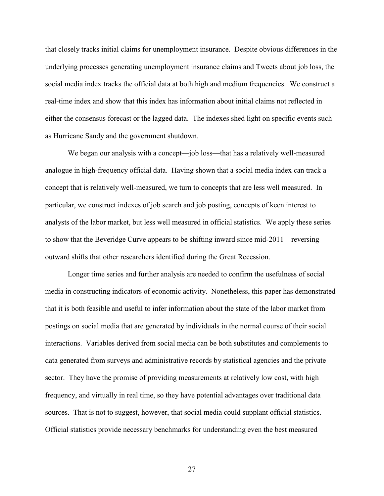that closely tracks initial claims for unemployment insurance. Despite obvious differences in the underlying processes generating unemployment insurance claims and Tweets about job loss, the social media index tracks the official data at both high and medium frequencies. We construct a real-time index and show that this index has information about initial claims not reflected in either the consensus forecast or the lagged data. The indexes shed light on specific events such as Hurricane Sandy and the government shutdown.

We began our analysis with a concept—job loss—that has a relatively well-measured analogue in high-frequency official data. Having shown that a social media index can track a concept that is relatively well-measured, we turn to concepts that are less well measured. In particular, we construct indexes of job search and job posting, concepts of keen interest to analysts of the labor market, but less well measured in official statistics. We apply these series to show that the Beveridge Curve appears to be shifting inward since mid-2011—reversing outward shifts that other researchers identified during the Great Recession.

 Longer time series and further analysis are needed to confirm the usefulness of social media in constructing indicators of economic activity. Nonetheless, this paper has demonstrated that it is both feasible and useful to infer information about the state of the labor market from postings on social media that are generated by individuals in the normal course of their social interactions. Variables derived from social media can be both substitutes and complements to data generated from surveys and administrative records by statistical agencies and the private sector. They have the promise of providing measurements at relatively low cost, with high frequency, and virtually in real time, so they have potential advantages over traditional data sources. That is not to suggest, however, that social media could supplant official statistics. Official statistics provide necessary benchmarks for understanding even the best measured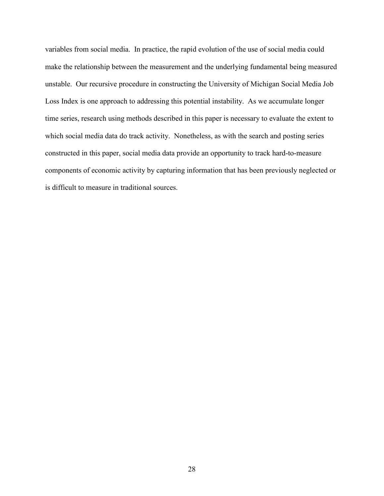variables from social media. In practice, the rapid evolution of the use of social media could make the relationship between the measurement and the underlying fundamental being measured unstable. Our recursive procedure in constructing the University of Michigan Social Media Job Loss Index is one approach to addressing this potential instability. As we accumulate longer time series, research using methods described in this paper is necessary to evaluate the extent to which social media data do track activity. Nonetheless, as with the search and posting series constructed in this paper, social media data provide an opportunity to track hard-to-measure components of economic activity by capturing information that has been previously neglected or is difficult to measure in traditional sources.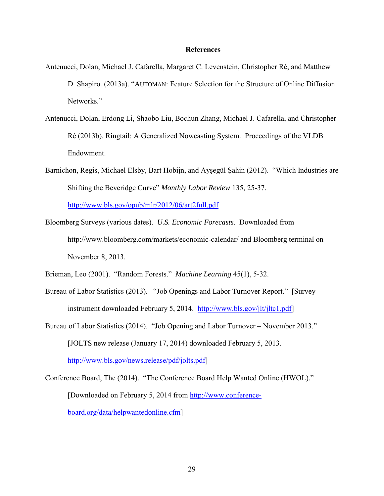#### **References**

- Antenucci, Dolan, Michael J. Cafarella, Margaret C. Levenstein, Christopher Ré, and Matthew D. Shapiro. (2013a). "AUTOMAN: Feature Selection for the Structure of Online Diffusion Networks."
- Antenucci, Dolan, Erdong Li, Shaobo Liu, Bochun Zhang, Michael J. Cafarella, and Christopher Ré (2013b). Ringtail: A Generalized Nowcasting System. Proceedings of the VLDB Endowment.
- Barnichon, Regis, Michael Elsby, Bart Hobijn, and Ayşegül Şahin (2012). "Which Industries are Shifting the Beveridge Curve" *Monthly Labor Review* 135, 25-37.

<http://www.bls.gov/opub/mlr/2012/06/art2full.pdf>

Bloomberg Surveys (various dates). *U.S. Economic Forecasts*. Downloaded from <http://www.bloomberg.com/markets/economic-calendar/>and Bloomberg terminal on November 8, 2013.

Brieman, Leo (2001). "Random Forests." *Machine Learning* 45(1), 5-32.

- Bureau of Labor Statistics (2013). "Job Openings and Labor Turnover Report." [Survey instrument downloaded February 5, 2014. [http://www.bls.gov/jlt/jltc1.pdf\]](http://www.bls.gov/jlt/jltc1.pdf)
- Bureau of Labor Statistics (2014). "Job Opening and Labor Turnover November 2013." [JOLTS new release (January 17, 2014) downloaded February 5, 2013.

[http://www.bls.gov/news.release/pdf/jolts.pdf\]](http://www.bls.gov/news.release/pdf/jolts.pdf)

Conference Board, The (2014). "The Conference Board Help Wanted Online (HWOL)." [Downloaded on February 5, 2014 from [http://www.conference](http://www.conference-board.org/data/helpwantedonline.cfm)[board.org/data/helpwantedonline.cfm\]](http://www.conference-board.org/data/helpwantedonline.cfm)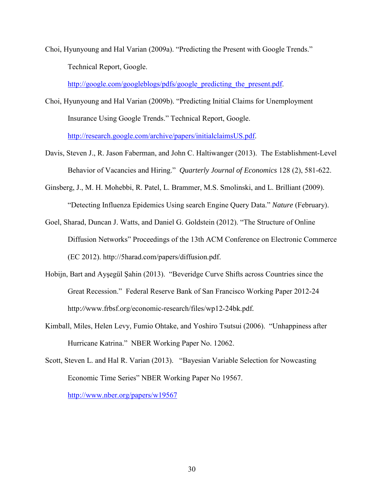Choi, Hyunyoung and Hal Varian (2009a). "Predicting the Present with Google Trends." Technical Report, Google.

[http://google.com/googleblogs/pdfs/google\\_predicting\\_the\\_present.pdf.](http://google.com/googleblogs/pdfs/google_predicting_the_present.pdf)

- Choi, Hyunyoung and Hal Varian (2009b). "Predicting Initial Claims for Unemployment Insurance Using Google Trends." Technical Report, Google. [http://research.google.com/archive/papers/initialclaimsUS.pdf.](http://research.google.com/archive/papers/initialclaimsUS.pdf)
- Davis, Steven J., R. Jason Faberman, and John C. Haltiwanger (2013). The Establishment-Level Behavior of Vacancies and Hiring." *Quarterly Journal of Economics* 128 (2), 581-622.
- Ginsberg, J., M. H. Mohebbi, R. Patel, L. Brammer, M.S. Smolinski, and L. Brilliant (2009). "Detecting Influenza Epidemics Using search Engine Query Data." *Nature* (February).
- Goel, Sharad, Duncan J. Watts, and Daniel G. Goldstein (2012). "The Structure of Online Diffusion Networks" Proceedings of the 13th ACM Conference on Electronic Commerce (EC 2012). http://5harad.com/papers/diffusion.pdf.
- Hobijn, Bart and Ayşegül Şahin (2013). "Beveridge Curve Shifts across Countries since the Great Recession." Federal Reserve Bank of San Francisco Working Paper 2012-24 http:*//*www.frbsf.org/economic-research/files/wp12-24bk.pdf *.*
- Kimball, Miles, Helen Levy, Fumio Ohtake, and Yoshiro Tsutsui (2006). "Unhappiness after Hurricane Katrina." NBER Working Paper No. 12062.
- Scott, Steven L. and Hal R. Varian (2013). "Bayesian Variable Selection for Nowcasting Economic Time Series" NBER Working Paper No 19567.

<http://www.nber.org/papers/w19567>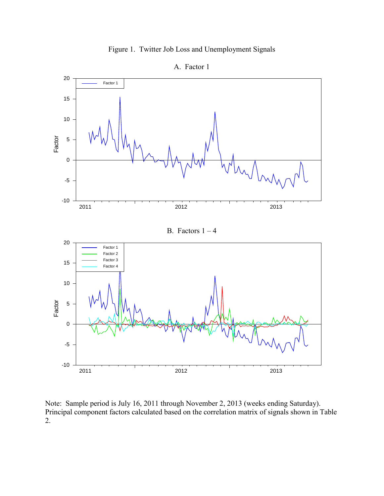



Note: Sample period is July 16, 2011 through November 2, 2013 (weeks ending Saturday). Principal component factors calculated based on the correlation matrix of signals shown in Table 2.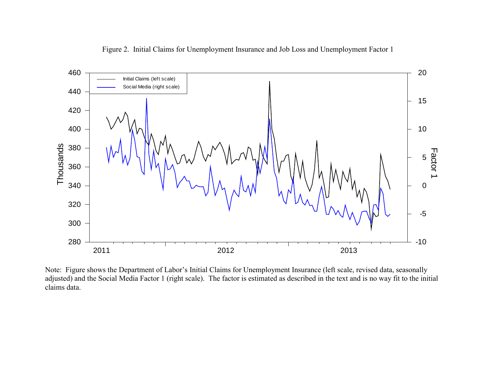Figure 2. Initial Claims for Unemployment Insurance and Job Loss and Unemployment Factor 1



Note: Figure shows the Department of Labor's Initial Claims for Unemployment Insurance (left scale, revised data, seasonally adjusted) and the Social Media Factor 1 (right scale). The factor is estimated as described in the text and is no way fit to the initial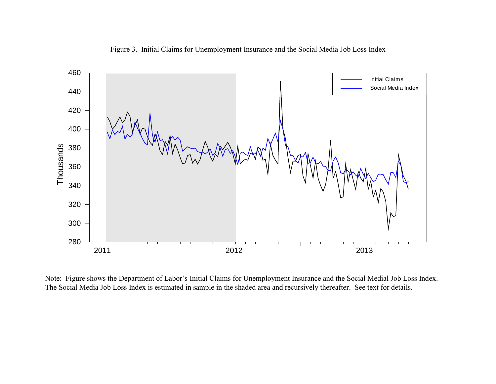

Figure 3. Initial Claims for Unemployment Insurance and the Social Media Job Loss Index

Note: Figure shows the Department of Labor's Initial Claims for Unemployment Insurance and the Social Medial Job Loss Index.<br>The Social Media Job Loss Index is estimated in sample in the shaded area and recursively thereaf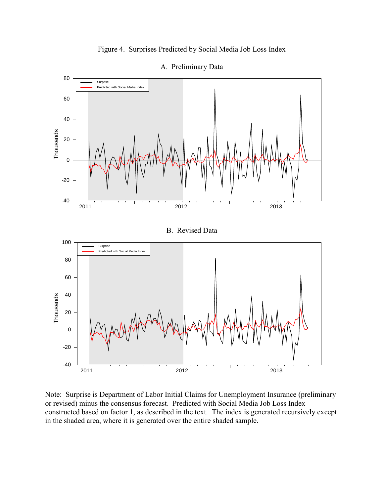



A. Preliminary Data

Note: Surprise is Department of Labor Initial Claims for Unemployment Insurance (preliminary or revised) minus the consensus forecast. Predicted with Social Media Job Loss Index constructed based on factor 1, as described in the text. The index is generated recursively except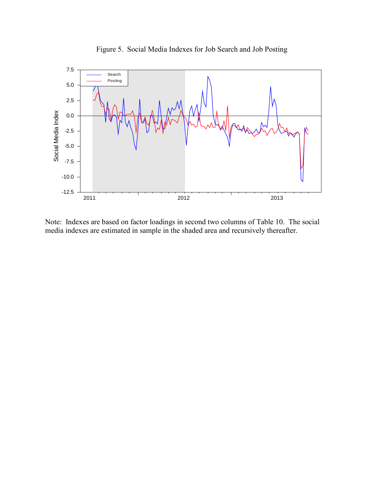

Figure 5. Social Media Indexes for Job Search and Job Posting

Note: Indexes are based on factor loadings in second two columns of Table 10. The social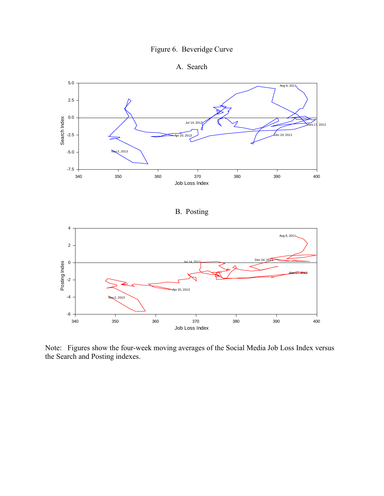# Figure 6. Beveridge Curve





# B. Posting



Note: Figures show the four-week moving averages of the Social Media Job Loss Index versus the Search and Posting indexes.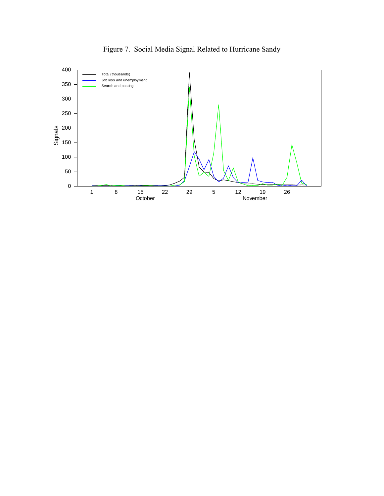

Figure 7. Social Media Signal Related to Hurricane Sandy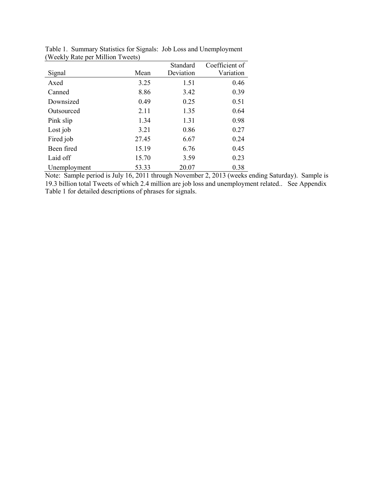|              |       | Standard  | Coefficient of |
|--------------|-------|-----------|----------------|
| Signal       | Mean  | Deviation | Variation      |
| Axed         | 3.25  | 1.51      | 0.46           |
| Canned       | 8.86  | 3.42      | 0.39           |
| Downsized    | 0.49  | 0.25      | 0.51           |
| Outsourced   | 2.11  | 1.35      | 0.64           |
| Pink slip    | 1.34  | 1.31      | 0.98           |
| Lost job     | 3.21  | 0.86      | 0.27           |
| Fired job    | 27.45 | 6.67      | 0.24           |
| Been fired   | 15.19 | 6.76      | 0.45           |
| Laid off     | 15.70 | 3.59      | 0.23           |
| Unemployment | 53.33 | 20.07     | 0.38           |

Table 1. Summary Statistics for Signals: Job Loss and Unemployment (Weekly Rate per Million Tweets)

Note: Sample period is July 16, 2011 through November 2, 2013 (weeks ending Saturday). Sample is 19.3 billion total Tweets of which 2.4 million are job loss and unemployment related.. See Appendix Table 1 for detailed descriptions of phrases for signals.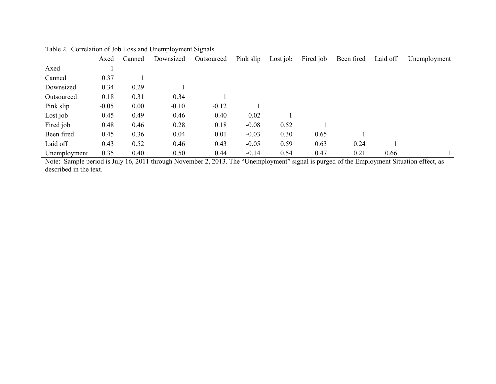|              | Axed    | Canned | Downsized | Outsourced | Pink slip | Lost job | Fired job | Been fired | Laid off | Unemployment |
|--------------|---------|--------|-----------|------------|-----------|----------|-----------|------------|----------|--------------|
| Axed         |         |        |           |            |           |          |           |            |          |              |
| Canned       | 0.37    |        |           |            |           |          |           |            |          |              |
| Downsized    | 0.34    | 0.29   |           |            |           |          |           |            |          |              |
| Outsourced   | 0.18    | 0.31   | 0.34      |            |           |          |           |            |          |              |
| Pink slip    | $-0.05$ | 0.00   | $-0.10$   | $-0.12$    |           |          |           |            |          |              |
| Lost job     | 0.45    | 0.49   | 0.46      | 0.40       | 0.02      |          |           |            |          |              |
| Fired job    | 0.48    | 0.46   | 0.28      | 0.18       | $-0.08$   | 0.52     |           |            |          |              |
| Been fired   | 0.45    | 0.36   | 0.04      | 0.01       | $-0.03$   | 0.30     | 0.65      |            |          |              |
| Laid off     | 0.43    | 0.52   | 0.46      | 0.43       | $-0.05$   | 0.59     | 0.63      | 0.24       |          |              |
| Unemployment | 0.35    | 0.40   | 0.50      | 0.44       | $-0.14$   | 0.54     | 0.47      | 0.21       | 0.66     |              |

Table 2. Correlation of Job Loss and Unemployment Signals

Note: Sample period is July 16, 2011 through November 2, 2013. The "Unemployment" signal is purged of the Employment Situation effect, as described in the text.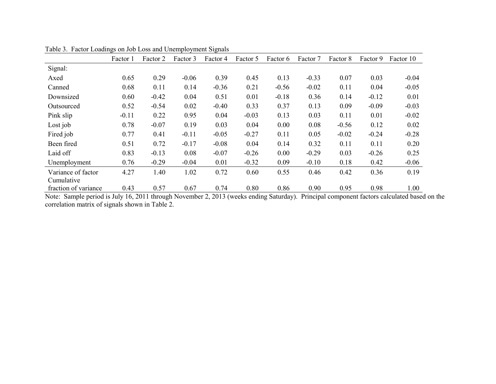|                      | Factor 1 | Factor 2 | Factor 3     | Factor 4                      | Factor 5 | Factor 6 | Factor 7             | Factor 8 | Factor 9 | Factor 10 |
|----------------------|----------|----------|--------------|-------------------------------|----------|----------|----------------------|----------|----------|-----------|
| Signal:              |          |          |              |                               |          |          |                      |          |          |           |
| Axed                 | 0.65     | 0.29     | $-0.06$      | 0.39                          | 0.45     | 0.13     | $-0.33$              | 0.07     | 0.03     | $-0.04$   |
| Canned               | 0.68     | 0.11     | 0.14         | $-0.36$                       | 0.21     | $-0.56$  | $-0.02$              | 0.11     | 0.04     | $-0.05$   |
| Downsized            | 0.60     | $-0.42$  | 0.04         | 0.51                          | 0.01     | $-0.18$  | 0.36                 | 0.14     | $-0.12$  | 0.01      |
| Outsourced           | 0.52     | $-0.54$  | 0.02         | $-0.40$                       | 0.33     | 0.37     | 0.13                 | 0.09     | $-0.09$  | $-0.03$   |
| Pink slip            | $-0.11$  | 0.22     | 0.95         | 0.04                          | $-0.03$  | 0.13     | 0.03                 | 0.11     | 0.01     | $-0.02$   |
| Lost job             | 0.78     | $-0.07$  | 0.19         | 0.03                          | 0.04     | 0.00     | 0.08                 | $-0.56$  | 0.12     | 0.02      |
| Fired job            | 0.77     | 0.41     | $-0.11$      | $-0.05$                       | $-0.27$  | 0.11     | 0.05                 | $-0.02$  | $-0.24$  | $-0.28$   |
| Been fired           | 0.51     | 0.72     | $-0.17$      | $-0.08$                       | 0.04     | 0.14     | 0.32                 | 0.11     | 0.11     | 0.20      |
| Laid off             | 0.83     | $-0.13$  | 0.08         | $-0.07$                       | $-0.26$  | 0.00     | $-0.29$              | 0.03     | $-0.26$  | 0.25      |
| Unemployment         | 0.76     | $-0.29$  | $-0.04$      | 0.01                          | $-0.32$  | 0.09     | $-0.10$              | 0.18     | 0.42     | $-0.06$   |
| Variance of factor   | 4.27     | 1.40     | 1.02         | 0.72                          | 0.60     | 0.55     | 0.46                 | 0.42     | 0.36     | 0.19      |
| Cumulative           |          |          |              |                               |          |          |                      |          |          |           |
| fraction of variance | 0.43     | 0.57     | 0.67<br>1.37 | 0.74<br>$\sim$ 0.010 $\prime$ | 0.80     | 0.86     | 0.90<br>$1 \times n$ | 0.95     | 0.98     | 1.00      |

Table 3. Factor Loadings on Job Loss and Unemployment Signals

Note: Sample period is July 16, 2011 through November 2, 2013 (weeks ending Saturday). Principal component factors calculated based on the correlation matrix of signals shown in Table 2.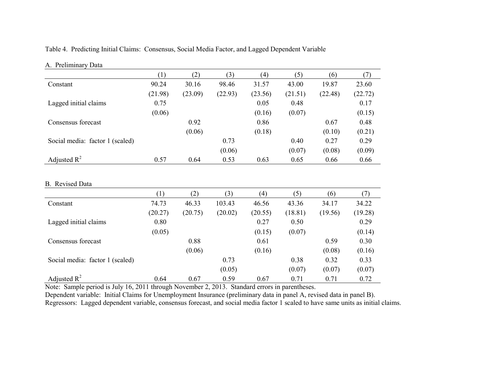Table 4. Predicting Initial Claims: Consensus, Social Media Factor, and Lagged Dependent Variable

|                                 | (1)     | (2)     | (3)     | (4)     | (5)     | (6)     | (7)     |
|---------------------------------|---------|---------|---------|---------|---------|---------|---------|
| Constant                        | 90.24   | 30.16   | 98.46   | 31.57   | 43.00   | 19.87   | 23.60   |
|                                 | (21.98) | (23.09) | (22.93) | (23.56) | (21.51) | (22.48) | (22.72) |
| Lagged initial claims           | 0.75    |         |         | 0.05    | 0.48    |         | 0.17    |
|                                 | (0.06)  |         |         | (0.16)  | (0.07)  |         | (0.15)  |
| Consensus forecast              |         | 0.92    |         | 0.86    |         | 0.67    | 0.48    |
|                                 |         | (0.06)  |         | (0.18)  |         | (0.10)  | (0.21)  |
| Social media: factor 1 (scaled) |         |         | 0.73    |         | 0.40    | 0.27    | 0.29    |
|                                 |         |         | (0.06)  |         | (0.07)  | (0.08)  | (0.09)  |
| Adjusted $R^2$                  | 0.57    | 0.64    | 0.53    | 0.63    | 0.65    | 0.66    | 0.66    |
|                                 |         |         |         |         |         |         |         |
|                                 |         |         |         |         |         |         |         |
| <b>B.</b> Revised Data          |         |         |         |         |         |         |         |
|                                 | (1)     | (2)     | (3)     | (4)     | (5)     | (6)     | (7)     |
| Constant                        | 74.73   | 46.33   | 103.43  | 46.56   | 43.36   | 34.17   | 34.22   |
|                                 | (20.27) | (20.75) | (20.02) | (20.55) | (18.81) | (19.56) | (19.28) |
| Lagged initial claims           | 0.80    |         |         | 0.27    | 0.50    |         | 0.29    |
|                                 | (0.05)  |         |         | (0.15)  | (0.07)  |         | (0.14)  |
| Consensus forecast              |         | 0.88    |         | 0.61    |         | 0.59    | 0.30    |
|                                 |         | (0.06)  |         | (0.16)  |         | (0.08)  | (0.16)  |
| Social media: factor 1 (scaled) |         |         | 0.73    |         | 0.38    | 0.32    | 0.33    |
|                                 |         |         | (0.05)  |         | (0.07)  | (0.07)  | (0.07)  |

A. Preliminary Data

Note: Sample period is July 16, 2011 through November 2, 2013. Standard errors in parentheses.

Dependent variable: Initial Claims for Unemployment Insurance (preliminary data in panel A, revised data in panel B). Regressors: Lagged dependent variable, consensus forecast, and social media factor 1 scaled to have same units as initial claims.

Adjusted R<sup>2</sup> 0.64 0.67 0.59 0.67 0.71 0.71 0.72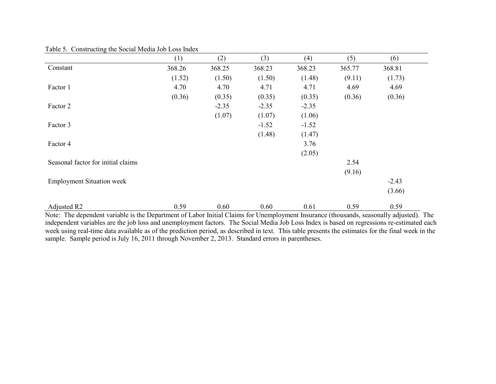|                                    | (1)    | (2)     | (3)     | (4)     | (5)    | (6)     |
|------------------------------------|--------|---------|---------|---------|--------|---------|
| Constant                           | 368.26 | 368.25  | 368.23  | 368.23  | 365.77 | 368.81  |
|                                    | (1.52) | (1.50)  | (1.50)  | (1.48)  | (9.11) | (1.73)  |
| Factor 1                           | 4.70   | 4.70    | 4.71    | 4.71    | 4.69   | 4.69    |
|                                    | (0.36) | (0.35)  | (0.35)  | (0.35)  | (0.36) | (0.36)  |
| Factor 2                           |        | $-2.35$ | $-2.35$ | $-2.35$ |        |         |
|                                    |        | (1.07)  | (1.07)  | (1.06)  |        |         |
| Factor 3                           |        |         | $-1.52$ | $-1.52$ |        |         |
|                                    |        |         | (1.48)  | (1.47)  |        |         |
| Factor 4                           |        |         |         | 3.76    |        |         |
|                                    |        |         |         | (2.05)  |        |         |
| Seasonal factor for initial claims |        |         |         |         | 2.54   |         |
|                                    |        |         |         |         | (9.16) |         |
| <b>Employment Situation week</b>   |        |         |         |         |        | $-2.43$ |
|                                    |        |         |         |         |        | (3.66)  |
| Adjusted R2                        | 0.59   | 0.60    | 0.60    | 0.61    | 0.59   | 0.59    |

Table 5. Constructing the Social Media Job Loss Index

Note: The dependent variable is the Department of Labor Initial Claims for Unemployment Insurance (thousands, seasonally adjusted). The independent variables are the job loss and unemployment factors. The Social Media Job Loss Index is based on regressions re-estimated each week using real-time data available as of the prediction period, as described in text. This table presents the estimates for the final week in the sample. Sample period is July 16, 2011 through November 2, 2013. Standard errors in parentheses.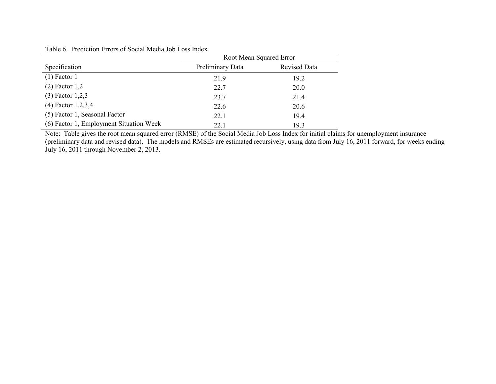| Table 6. Prediction Errors of Social Media Job Loss Index |  |  |  |  |  |  |  |
|-----------------------------------------------------------|--|--|--|--|--|--|--|
|-----------------------------------------------------------|--|--|--|--|--|--|--|

|                                         | Root Mean Squared Error |              |  |  |  |
|-----------------------------------------|-------------------------|--------------|--|--|--|
| Specification                           | Preliminary Data        | Revised Data |  |  |  |
| $(1)$ Factor 1                          | 21.9                    | 19.2         |  |  |  |
| $(2)$ Factor 1,2                        | 22.7                    | 20.0         |  |  |  |
| $(3)$ Factor 1,2,3                      | 23.7                    | 21.4         |  |  |  |
| $(4)$ Factor 1,2,3,4                    | 22.6                    | 20.6         |  |  |  |
| (5) Factor 1, Seasonal Factor           | 22.1                    | 19.4         |  |  |  |
| (6) Factor 1, Employment Situation Week | 22.1                    | 19.3         |  |  |  |

Note: Table gives the root mean squared error (RMSE) of the Social Media Job Loss Index for initial claims for unemployment insurance (preliminary data and revised data). The models and RMSEs are estimated recursively, using data from July 16, 2011 forward, for weeks ending July 16, 2011 through November 2, 2013.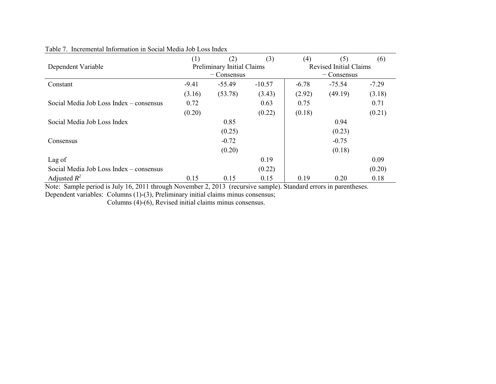| Dependent Variable                      | (1)     | (2)<br>Preliminary Initial Claims<br>$-$ Consensus | (3)      | (4)     | (5)<br><b>Revised Initial Claims</b><br>$-$ Consensus | (6)     |
|-----------------------------------------|---------|----------------------------------------------------|----------|---------|-------------------------------------------------------|---------|
| Constant                                | $-9.41$ | $-55.49$                                           | $-10.57$ | $-6.78$ | $-75.54$                                              | $-7.29$ |
|                                         | (3.16)  | (53.78)                                            | (3.43)   | (2.92)  | (49.19)                                               | (3.18)  |
| Social Media Job Loss Index – consensus | 0.72    |                                                    | 0.63     | 0.75    |                                                       | 0.71    |
|                                         | (0.20)  |                                                    | (0.22)   | (0.18)  |                                                       | (0.21)  |
| Social Media Job Loss Index             |         | 0.85                                               |          |         | 0.94                                                  |         |
|                                         |         | (0.25)                                             |          |         | (0.23)                                                |         |
| Consensus                               |         | $-0.72$                                            |          |         | $-0.75$                                               |         |
|                                         |         | (0.20)                                             |          |         | (0.18)                                                |         |
| Lag of                                  |         |                                                    | 0.19     |         |                                                       | 0.09    |
| Social Media Job Loss Index – consensus |         |                                                    | (0.22)   |         |                                                       | (0.20)  |
| Adjusted $R^2$                          | 0.15    | 0.15                                               | 0.15     | 0.19    | 0.20                                                  | 0.18    |

# Table 7. Incremental Information in Social Media Job Loss Index

Note: Sample period is July 16, 2011 through November 2, 2013 (recursive sample). Standard errors in parentheses.

Dependent variables: Columns (1)-(3), Preliminary initial claims minus consensus;

Columns (4)-(6), Revised initial claims minus consensus.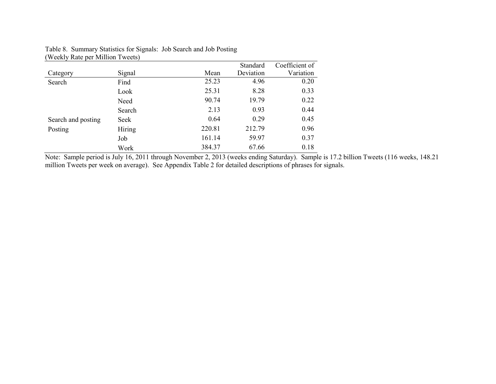|                    |        |        | Standard  | Coefficient of |
|--------------------|--------|--------|-----------|----------------|
| Category           | Signal | Mean   | Deviation | Variation      |
| Search             | Find   | 25.23  | 4.96      | 0.20           |
|                    | Look   | 25.31  | 8.28      | 0.33           |
|                    | Need   | 90.74  | 19.79     | 0.22           |
|                    | Search | 2.13   | 0.93      | 0.44           |
| Search and posting | Seek   | 0.64   | 0.29      | 0.45           |
| Posting            | Hiring | 220.81 | 212.79    | 0.96           |
|                    | Job    | 161.14 | 59.97     | 0.37           |
|                    | Work   | 384.37 | 67.66     | 0.18           |

# Table 8. Summary Statistics for Signals: Job Search and Job Posting (Weekly Rate per Million Tweets)

Note: Sample period is July 16, 2011 through November 2, 2013 (weeks ending Saturday). Sample is 17.2 billion Tweets (116 weeks, 148.21 million Tweets per week on average). See Appendix Table 2 for detailed descriptions of phrases for signals.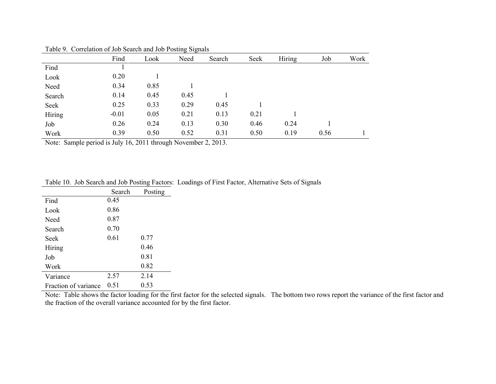|        | Find    | Look | Need | Search | Seek | Hiring | Job  | Work |
|--------|---------|------|------|--------|------|--------|------|------|
| Find   |         |      |      |        |      |        |      |      |
| Look   | 0.20    |      |      |        |      |        |      |      |
| Need   | 0.34    | 0.85 |      |        |      |        |      |      |
| Search | 0.14    | 0.45 | 0.45 |        |      |        |      |      |
| Seek   | 0.25    | 0.33 | 0.29 | 0.45   |      |        |      |      |
| Hiring | $-0.01$ | 0.05 | 0.21 | 0.13   | 0.21 |        |      |      |
| Job    | 0.26    | 0.24 | 0.13 | 0.30   | 0.46 | 0.24   |      |      |
| Work   | 0.39    | 0.50 | 0.52 | 0.31   | 0.50 | 0.19   | 0.56 |      |

Table 9. Correlation of Job Search and Job Posting Signals

Note: Sample period is July 16, 2011 through November 2, 2013.

|  | Table 10. Job Search and Job Posting Factors: Loadings of First Factor, Alternative Sets of Signals |  |  |
|--|-----------------------------------------------------------------------------------------------------|--|--|
|  |                                                                                                     |  |  |

|                      | Search | Posting |
|----------------------|--------|---------|
| Find                 | 0.45   |         |
| Look                 | 0.86   |         |
| Need                 | 0.87   |         |
| Search               | 0.70   |         |
| Seek                 | 0.61   | 0.77    |
| Hiring               |        | 0.46    |
| Job                  |        | 0.81    |
| Work                 |        | 0.82    |
| Variance             | 2.57   | 2.14    |
| Fraction of variance | 0.51   | 0.53    |

Note: Table shows the factor loading for the first factor for the selected signals. The bottom two rows report the variance of the first factor and the fraction of the overall variance accounted for by the first factor.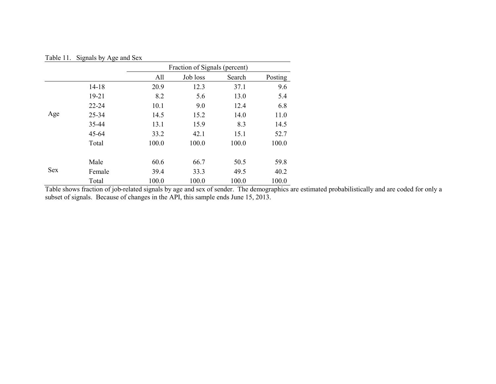| Table 11.  | Signals by Age and Sex |                               |          |        |         |  |
|------------|------------------------|-------------------------------|----------|--------|---------|--|
|            |                        | Fraction of Signals (percent) |          |        |         |  |
|            |                        | All                           | Job loss | Search | Posting |  |
|            | $14 - 18$              | 20.9                          | 12.3     | 37.1   | 9.6     |  |
| Age        | $19 - 21$              | 8.2                           | 5.6      | 13.0   | 5.4     |  |
|            | $22 - 24$              | 10.1                          | 9.0      | 12.4   | 6.8     |  |
|            | 25-34                  | 14.5                          | 15.2     | 14.0   | 11.0    |  |
|            | 35-44                  | 13.1                          | 15.9     | 8.3    | 14.5    |  |
|            | $45 - 64$              | 33.2                          | 42.1     | 15.1   | 52.7    |  |
|            | Total                  | 100.0                         | 100.0    | 100.0  | 100.0   |  |
|            | Male                   | 60.6                          | 66.7     | 50.5   | 59.8    |  |
| <b>Sex</b> | Female                 | 39.4                          | 33.3     | 49.5   | 40.2    |  |
|            | Total                  | 100.0                         | 100.0    | 100.0  | 100.0   |  |

Table shows fraction of job-related signals by age and sex of sender. The demographics are estimated probabilistically and are coded for only a subset of signals. Because of changes in the API, this sample ends June 15, 2013.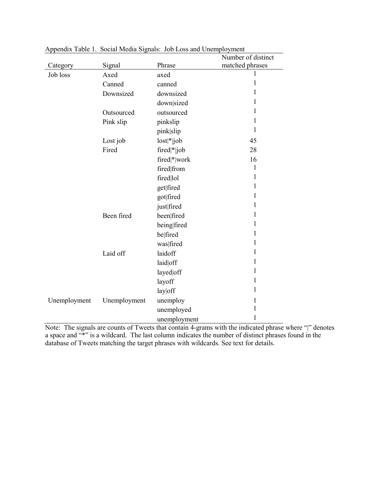|              |              |              | Number of distinct |
|--------------|--------------|--------------|--------------------|
| Category     | Signal       | Phrase       | matched phrases    |
| Job loss     | Axed         | axed         | 1                  |
|              | Canned       | canned       | 1                  |
|              | Downsized    | downsized    | 1                  |
|              |              | down sized   | 1                  |
|              | Outsourced   | outsourced   | 1                  |
|              | Pink slip    | pinkslip     | 1                  |
|              |              | pink slip    | 1                  |
|              | Lost job     | $lost * job$ | 45                 |
|              | Fired        | fired * job  | 28                 |
|              |              | fired * work | 16                 |
|              |              | fired from   | $\mathbf{1}$       |
|              |              | fired lol    | 1                  |
|              |              | get fired    | 1                  |
|              |              | got fired    | 1                  |
|              |              | just fired   | 1                  |
|              | Been fired   | been fired   | 1                  |
|              |              | being fired  | 1                  |
|              |              | belfired     | 1                  |
|              |              | was fired    | 1                  |
|              | Laid off     | laidoff      | 1                  |
|              |              | laid off     | 1                  |
|              |              | layed off    | 1                  |
|              |              | layoff       | 1                  |
|              |              | lay off      | 1                  |
| Unemployment | Unemployment | unemploy     | 1                  |
|              |              | unemployed   | 1                  |
|              |              | unemployment | 1                  |

Appendix Table 1. Social Media Signals: Job Loss and Unemployment

Note: The signals are counts of Tweets that contain 4-grams with the indicated phrase where "|" denotes a space and "\*" is a wildcard. The last column indicates the number of distinct phrases found in the database of Tweets matching the target phrases with wildcards. See text for details.